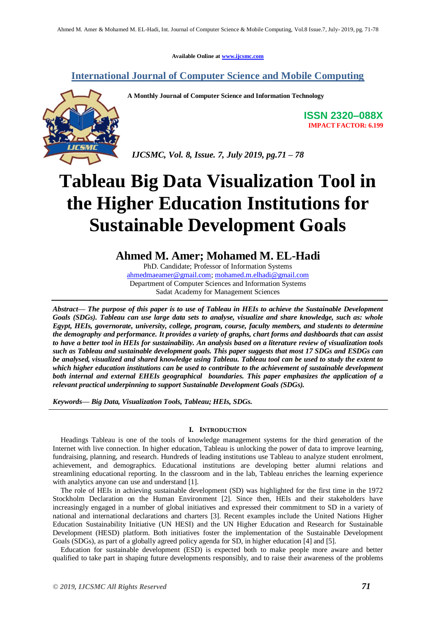**Available Online at [www.ijcsmc.com](http://www.ijcsmc.com/)**

## **International Journal of Computer Science and Mobile Computing**

**A Monthly Journal of Computer Science and Information Technology**

**ISSN 2320–088X IMPACT FACTOR: 6.199**

 *IJCSMC, Vol. 8, Issue. 7, July 2019, pg.71 – 78*

# **Tableau Big Data Visualization Tool in the Higher Education Institutions for Sustainable Development Goals**

**Ahmed M. Amer; Mohamed M. EL-Hadi**

PhD. Candidate; Professor of Information Systems [ahmedmaeamer@gmail.com;](mailto:ahmedmaeamer@gmail.com) [mohamed.m.elhadi@gmail.com](mailto:mohamed.m.elhadi@gmail.com) Department of Computer Sciences and Information Systems Sadat Academy for Management Sciences

*Abstract— The purpose of this paper is to use of Tableau in HEIs to achieve the Sustainable Development Goals (SDGs). Tableau can use large data sets to analyse, visualize and share knowledge, such as: whole Egypt, HEIs, governorate, university, college, program, course, faculty members, and students to determine the demography and performance. It provides a variety of graphs, chart forms and dashboards that can assist to have a better tool in HEIs for sustainability. An analysis based on a literature review of visualization tools such as Tableau and sustainable development goals. This paper suggests that most 17 SDGs and ESDGs can be analysed, visualized and shared knowledge using Tableau. Tableau tool can be used to study the extent to which higher education institutions can be used to contribute to the achievement of sustainable development both internal and external EHEIs geographical boundaries. This paper emphasizes the application of a relevant practical underpinning to support Sustainable Development Goals (SDGs).*

*Keywords— Big Data, Visualization Tools, Tableau; HEIs, SDGs.*

#### **I. INTRODUCTION**

Headings Tableau is one of the tools of knowledge management systems for the third generation of the Internet with live connection. In higher education, Tableau is unlocking the power of data to improve learning, fundraising, planning, and research. Hundreds of leading institutions use Tableau to analyze student enrolment, achievement, and demographics. Educational institutions are developing better alumni relations and streamlining educational reporting. In the classroom and in the lab, Tableau enriches the learning experience with analytics anyone can use and understand [1].

The role of HEIs in achieving sustainable development (SD) was highlighted for the first time in the 1972 Stockholm Declaration on the Human Environment [2]. Since then, HEIs and their stakeholders have increasingly engaged in a number of global initiatives and expressed their commitment to SD in a variety of national and international declarations and charters [3]. Recent examples include the United Nations Higher Education Sustainability Initiative (UN HESI) and the UN Higher Education and Research for Sustainable Development (HESD) platform. Both initiatives foster the implementation of the Sustainable Development Goals (SDGs), as part of a globally agreed policy agenda for SD, in higher education [4] and [5].

Education for sustainable development (ESD) is expected both to make people more aware and better qualified to take part in shaping future developments responsibly, and to raise their awareness of the problems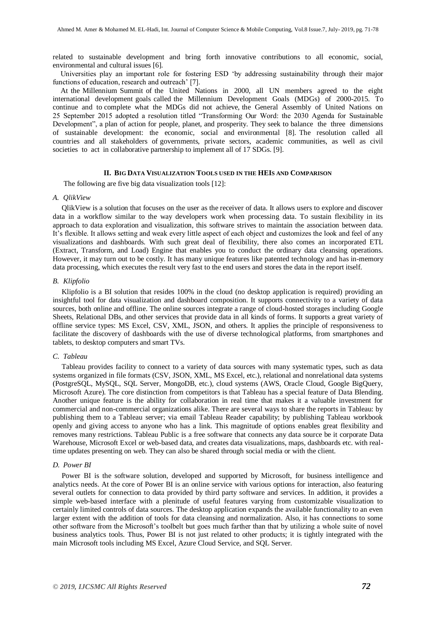related to sustainable development and bring forth innovative contributions to all economic, social, environmental and cultural issues [6].

Universities play an important role for fostering ESD 'by addressing sustainability through their major functions of education, research and outreach' [7].

At the Millennium Summit of the United Nations in 2000, all UN members agreed to the eight international development goals called the Millennium Development Goals (MDGs) of 2000-2015. To continue and to complete what the MDGs did not achieve, the General Assembly of United Nations on 25 September 2015 adopted a resolution titled "Transforming Our Word: the 2030 Agenda for Sustainable Development", a plan of action for people, planet, and prosperity. They seek to balance the three dimensions of sustainable development: the economic, social and environmental [8]. The resolution called all countries and all stakeholders of governments, private sectors, academic communities, as well as civil societies to act in collaborative partnership to implement all of 17 SDGs. [9].

#### **II. BIG DATA VISUALIZATION TOOLS USED IN THE HEIS AND COMPARISON**

The following are five big data visualization tools [12]:

#### *A. QlikView*

QlikView is a solution that focuses on the user as the receiver of data. It allows users to explore and discover data in a workflow similar to the way developers work when processing data. To sustain flexibility in its approach to data exploration and visualization, this software strives to maintain the association between data. It's flexible. It allows setting and weak every little aspect of each object and customizes the look and feel of any visualizations and dashboards. With such great deal of flexibility, there also comes an incorporated ETL (Extract, Transform, and Load) Engine that enables you to conduct the ordinary data cleansing operations. However, it may turn out to be costly. It has many unique features like patented technology and has in-memory data processing, which executes the result very fast to the end users and stores the data in the report itself.

#### *B. Klipfolio*

Klipfolio is a BI solution that resides 100% in the cloud (no desktop application is required) providing an insightful tool for data visualization and dashboard composition. It supports connectivity to a variety of data sources, both online and offline. The online sources integrate a range of cloud-hosted storages including Google Sheets, Relational DBs, and other services that provide data in all kinds of forms. It supports a great variety of offline service types: MS Excel, CSV, XML, JSON, and others. It applies the principle of responsiveness to facilitate the discovery of dashboards with the use of diverse technological platforms, from smartphones and tablets, to desktop computers and smart TVs.

#### *C. Tableau*

Tableau provides facility to connect to a variety of data sources with many systematic types, such as data systems organized in file formats (CSV, JSON, XML, MS Excel, etc.), relational and nonrelational data systems (PostgreSQL, MySQL, SQL Server, MongoDB, etc.), cloud systems (AWS, Oracle Cloud, Google BigQuery, Microsoft Azure). The core distinction from competitors is that Tableau has a special feature of Data Blending. Another unique feature is the ability for collaboration in real time that makes it a valuable investment for commercial and non-commercial organizations alike. There are several ways to share the reports in Tableau: by publishing them to a Tableau server; via email Tableau Reader capability; by publishing Tableau workbook openly and giving access to anyone who has a link. This magnitude of options enables great flexibility and removes many restrictions. Tableau Public is a free software that connects any data source be it corporate Data Warehouse, Microsoft Excel or web-based data, and creates data visualizations, maps, dashboards etc. with realtime updates presenting on web. They can also be shared through social media or with the client.

#### *D. Power BI*

Power BI is the software solution, developed and supported by Microsoft, for business intelligence and analytics needs. At the core of Power BI is an online service with various options for interaction, also featuring several outlets for connection to data provided by third party software and services. In addition, it provides a simple web-based interface with a plenitude of useful features varying from customizable visualization to certainly limited controls of data sources. The desktop application expands the available functionality to an even larger extent with the addition of tools for data cleansing and normalization. Also, it has connections to some other software from the Microsoft's toolbelt but goes much farther than that by utilizing a whole suite of novel business analytics tools. Thus, Power BI is not just related to other products; it is tightly integrated with the main Microsoft tools including MS Excel, Azure Cloud Service, and SQL Server.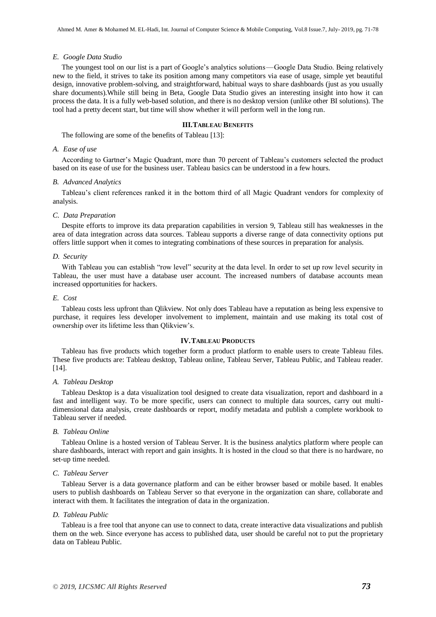#### *E. Google Data Studio*

The youngest tool on our list is a part of Google's analytics solutions — Google Data Studio. Being relatively new to the field, it strives to take its position among many competitors via ease of usage, simple yet beautiful design, innovative problem-solving, and straightforward, habitual ways to share dashboards (just as you usually share documents).While still being in Beta, Google Data Studio gives an interesting insight into how it can process the data. It is a fully web-based solution, and there is no desktop version (unlike other BI solutions). The tool had a pretty decent start, but time will show whether it will perform well in the long run.

#### **III.TABLEAU BENEFITS**

The following are some of the benefits of Tableau [13]:

#### *A. Ease of use*

According to Gartner's Magic Quadrant, more than 70 percent of Tableau's customers selected the product based on its ease of use for the business user. Tableau basics can be understood in a few hours.

#### *B. Advanced Analytics*

Tableau's client references ranked it in the bottom third of all Magic Quadrant vendors for complexity of analysis.

#### *C. Data Preparation*

Despite efforts to improve its data preparation capabilities in version 9, Tableau still has weaknesses in the area of data integration across data sources. Tableau supports a diverse range of data connectivity options put offers little support when it comes to integrating combinations of these sources in preparation for analysis.

#### *D. Security*

With Tableau you can establish "row level" security at the data level. In order to set up row level security in Tableau, the user must have a database user account. The increased numbers of database accounts mean increased opportunities for hackers.

#### *E. Cost*

Tableau costs less upfront than Qlikview. Not only does Tableau have a reputation as being less expensive to purchase, it requires less developer involvement to implement, maintain and use making its total cost of ownership over its lifetime less than Qlikview's.

#### **IV.TABLEAU PRODUCTS**

Tableau has five products which together form a product platform to enable users to create Tableau files. These five products are: Tableau desktop, Tableau online, Tableau Server, Tableau Public, and Tableau reader. [14].

#### *A. Tableau Desktop*

Tableau Desktop is a data visualization tool designed to create data visualization, report and dashboard in a fast and intelligent way. To be more specific, users can connect to multiple data sources, carry out multidimensional data analysis, create dashboards or report, modify metadata and publish a complete workbook to Tableau server if needed.

#### *B. Tableau Online*

Tableau Online is a hosted version of Tableau Server. It is the business analytics platform where people can share dashboards, interact with report and gain insights. It is hosted in the cloud so that there is no hardware, no set-up time needed.

#### *C. Tableau Server*

Tableau Server is a data governance platform and can be either browser based or mobile based. It enables users to publish dashboards on Tableau Server so that everyone in the organization can share, collaborate and interact with them. It facilitates the integration of data in the organization.

#### *D. Tableau Public*

Tableau is a free tool that anyone can use to connect to data, create interactive data visualizations and publish them on the web. Since everyone has access to published data, user should be careful not to put the proprietary data on Tableau Public.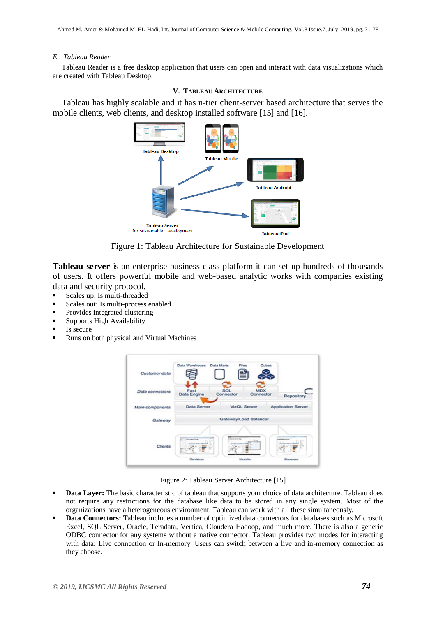#### *E. Tableau Reader*

Tableau Reader is a free desktop application that users can open and interact with data visualizations which are created with Tableau Desktop.

#### **V. TABLEAU ARCHITECTURE**

Tableau has highly scalable and it has n-tier client-server based architecture that serves the mobile clients, web clients, and desktop installed software [15] and [16].



Figure 1: Tableau Architecture for Sustainable Development

**Tableau server** is an enterprise business class platform it can set up hundreds of thousands of users. It offers powerful mobile and web-based analytic works with companies existing data and security protocol.

- Scales up: Is multi-threaded
- Scales out: Is multi-process enabled
- Provides integrated clustering
- Supports High Availability
- Is secure
- Runs on both physical and Virtual Machines



Figure 2: Tableau Server Architecture [15]

- **Data Layer:** The basic characteristic of tableau that supports your choice of data architecture. Tableau does not require any restrictions for the database like data to be stored in any single system. Most of the organizations have a heterogeneous environment. Tableau can work with all these simultaneously.
- **Data Connectors:** Tableau includes a number of optimized data connectors for databases such as Microsoft Excel, SQL Server, Oracle, Teradata, Vertica, Cloudera Hadoop, and much more. There is also a generic ODBC connector for any systems without a native connector. Tableau provides two modes for interacting with data: Live connection or In-memory. Users can switch between a live and in-memory connection as they choose.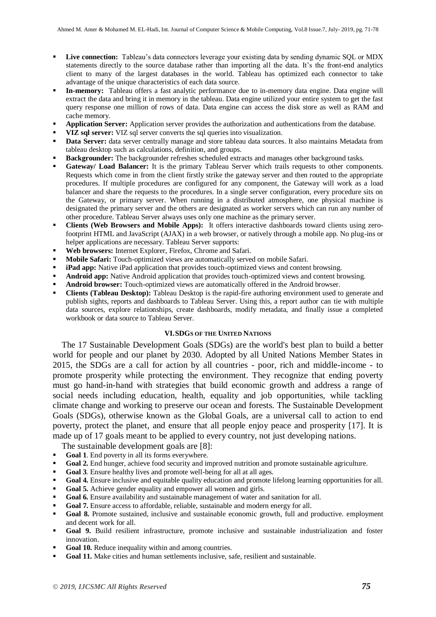- **Live connection:** Tableau's data connectors leverage your existing data by sending dynamic SQL or MDX statements directly to the source database rather than importing all the data. It's the front-end analytics client to many of the largest databases in the world. Tableau has optimized each connector to take advantage of the unique characteristics of each data source.
- **In-memory:** Tableau offers a fast analytic performance due to in-memory data engine. Data engine will extract the data and bring it in memory in the tableau. Data engine utilized your entire system to get the fast query response one million of rows of data. Data engine can access the disk store as well as RAM and cache memory.
- **Application Server:** Application server provides the authorization and authentications from the database.
- **VIZ sql server:** VIZ sql server converts the sql queries into visualization.
- **Data Server:** data server centrally manage and store tableau data sources. It also maintains Metadata from tableau desktop such as calculations, definition, and groups.
- **Backgrounder:** The backgrounder refreshes scheduled extracts and manages other background tasks.
- **Gateway/ Load Balancer:** It is the primary Tableau Server which trails requests to other components. Requests which come in from the client firstly strike the gateway server and then routed to the appropriate procedures. If multiple procedures are configured for any component, the Gateway will work as a load balancer and share the requests to the procedures. In a single server configuration, every procedure sits on the Gateway, or primary server. When running in a distributed atmosphere, one physical machine is designated the primary server and the others are designated as worker servers which can run any number of other procedure. Tableau Server always uses only one machine as the primary server.
- **Clients (Web Browsers and Mobile Apps):** It offers interactive dashboards toward clients using zerofootprint HTML and JavaScript (AJAX) in a web browser, or natively through a mobile app. No plug-ins or helper applications are necessary. Tableau Server supports:
- **Web browsers:** Internet Explorer, Firefox, Chrome and Safari.
- **Mobile Safari:** Touch-optimized views are automatically served on mobile Safari.
- **iPad app:** Native iPad application that provides touch-optimized views and content browsing.
- **Android app:** Native Android application that provides touch-optimized views and content browsing.
- **Android browser:** Touch-optimized views are automatically offered in the Android browser.
- **Clients (Tableau Desktop):** Tableau Desktop is the rapid-fire authoring environment used to generate and publish sights, reports and dashboards to Tableau Server. Using this, a report author can tie with multiple data sources, explore relationships, create dashboards, modify metadata, and finally issue a completed workbook or data source to Tableau Server.

#### **VI.SDGS OF THE UNITED NATIONS**

The 17 Sustainable Development Goals (SDGs) are the world's best plan to build a better world for people and our planet by 2030. Adopted by all United Nations Member States in 2015, the SDGs are a call for action by all countries - poor, rich and middle-income - to promote prosperity while protecting the environment. They recognize that ending poverty must go hand-in-hand with strategies that build economic growth and address a range of social needs including education, health, equality and job opportunities, while tackling climate change and working to preserve our ocean and forests. The Sustainable Development Goals (SDGs), otherwise known as the Global Goals, are a universal call to action to end poverty, protect the planet, and ensure that all people enjoy peace and prosperity [17]. It is made up of 17 goals meant to be applied to every country, not just developing nations.

The sustainable development goals are [8]:

- **Goal 1**. End poverty in all its forms everywhere.
- Goal 2. End hunger, achieve food security and improved nutrition and promote sustainable agriculture.
- **Goal 3**. Ensure healthy lives and promote well-being for all at all ages.
- Goal 4. Ensure inclusive and equitable quality education and promote lifelong learning opportunities for all.
- **Goal 5.** Achieve gender equality and empower all women and girls.
- **Goal 6.** Ensure availability and sustainable management of water and sanitation for all.
- **Goal 7.** Ensure access to affordable, reliable, sustainable and modern energy for all.
- **Goal 8.** Promote sustained, inclusive and sustainable economic growth, full and productive. employment and decent work for all.
- **Goal 9.** Build resilient infrastructure, promote inclusive and sustainable industrialization and foster innovation.
- Goal 10. Reduce inequality within and among countries.
- **Goal 11.** Make cities and human settlements inclusive, safe, resilient and sustainable.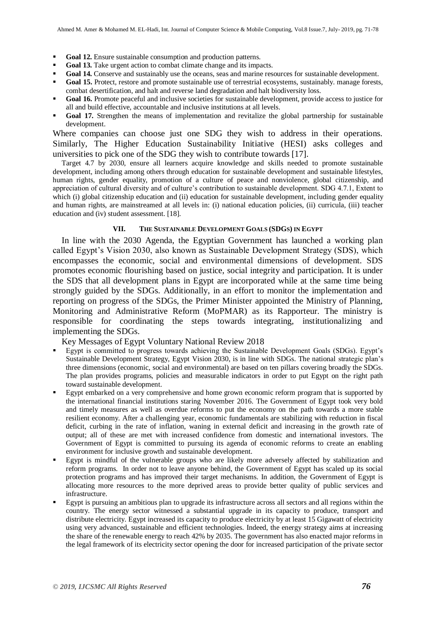- **Goal 12.** Ensure sustainable consumption and production patterns.
- **Goal 13.** Take urgent action to combat climate change and its impacts.
- Goal 14. Conserve and sustainably use the oceans, seas and marine resources for sustainable development.
- Goal 15. Protect, restore and promote sustainable use of terrestrial ecosystems, sustainably. manage forests, combat desertification, and halt and reverse land degradation and halt biodiversity loss.
- **Goal 16.** Promote peaceful and inclusive societies for sustainable development, provide access to justice for all and build effective, accountable and inclusive institutions at all levels.
- Goal 17. Strengthen the means of implementation and revitalize the global partnership for sustainable development.

Where companies can choose just one SDG they wish to address in their operations. Similarly, The Higher Education Sustainability Initiative (HESI) asks colleges and universities to pick one of the SDG they wish to contribute towards [17].

Target 4.7 by 2030, ensure all learners acquire knowledge and skills needed to promote sustainable development, including among others through education for sustainable development and sustainable lifestyles, human rights, gender equality, promotion of a culture of peace and nonviolence, global citizenship, and appreciation of cultural diversity and of culture's contribution to sustainable development. SDG 4.7.1, Extent to which (i) global citizenship education and (ii) education for sustainable development, including gender equality and human rights, are mainstreamed at all levels in: (i) national education policies, (ii) curricula, (iii) teacher education and (iv) student assessment. [18].

### **VII. THE SUSTAINABLE DEVELOPMENT GOALS (SDGS) IN EGYPT**

In line with the 2030 Agenda, the Egyptian Government has launched a working plan called Egypt's Vision 2030, also known as Sustainable Development Strategy (SDS), which encompasses the economic, social and environmental dimensions of development. SDS promotes economic flourishing based on justice, social integrity and participation. It is under the SDS that all development plans in Egypt are incorporated while at the same time being strongly guided by the SDGs. Additionally, in an effort to monitor the implementation and reporting on progress of the SDGs, the Primer Minister appointed the Ministry of Planning, Monitoring and Administrative Reform (MoPMAR) as its Rapporteur. The ministry is responsible for coordinating the steps towards integrating, institutionalizing and implementing the SDGs.

Key Messages of Egypt Voluntary National Review 2018

- Egypt is committed to progress towards achieving the Sustainable Development Goals (SDGs). Egypt's Sustainable Development Strategy, Egypt Vision 2030, is in line with SDGs. The national strategic plan's three dimensions (economic, social and environmental) are based on ten pillars covering broadly the SDGs. The plan provides programs, policies and measurable indicators in order to put Egypt on the right path toward sustainable development.
- Egypt embarked on a very comprehensive and home grown economic reform program that is supported by the international financial institutions staring November 2016. The Government of Egypt took very bold and timely measures as well as overdue reforms to put the economy on the path towards a more stable resilient economy. After a challenging year, economic fundamentals are stabilizing with reduction in fiscal deficit, curbing in the rate of inflation, waning in external deficit and increasing in the growth rate of output; all of these are met with increased confidence from domestic and international investors. The Government of Egypt is committed to pursuing its agenda of economic reforms to create an enabling environment for inclusive growth and sustainable development.
- Egypt is mindful of the vulnerable groups who are likely more adversely affected by stabilization and reform programs. In order not to leave anyone behind, the Government of Egypt has scaled up its social protection programs and has improved their target mechanisms. In addition, the Government of Egypt is allocating more resources to the more deprived areas to provide better quality of public services and infrastructure.
- Egypt is pursuing an ambitious plan to upgrade its infrastructure across all sectors and all regions within the country. The energy sector witnessed a substantial upgrade in its capacity to produce, transport and distribute electricity. Egypt increased its capacity to produce electricity by at least 15 Gigawatt of electricity using very advanced, sustainable and efficient technologies. Indeed, the energy strategy aims at increasing the share of the renewable energy to reach 42% by 2035. The government has also enacted major reforms in the legal framework of its electricity sector opening the door for increased participation of the private sector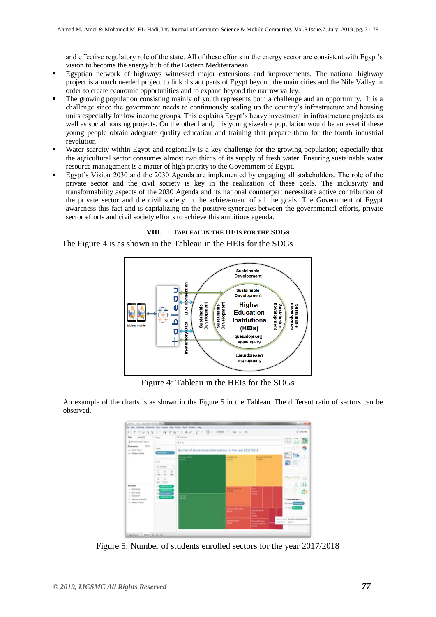and effective regulatory role of the state. All of these efforts in the energy sector are consistent with Egypt's vision to become the energy hub of the Eastern Mediterranean.

- Egyptian network of highways witnessed major extensions and improvements. The national highway project is a much needed project to link distant parts of Egypt beyond the main cities and the Nile Valley in order to create economic opportunities and to expand beyond the narrow valley.
- The growing population consisting mainly of youth represents both a challenge and an opportunity. It is a challenge since the government needs to continuously scaling up the country's infrastructure and housing units especially for low income groups. This explains Egypt's heavy investment in infrastructure projects as well as social housing projects. On the other hand, this young sizeable population would be an asset if these young people obtain adequate quality education and training that prepare them for the fourth industrial revolution.
- Water scarcity within Egypt and regionally is a key challenge for the growing population; especially that the agricultural sector consumes almost two thirds of its supply of fresh water. Ensuring sustainable water resource management is a matter of high priority to the Government of Egypt.
- Egypt's Vision 2030 and the 2030 Agenda are implemented by engaging all stakeholders. The role of the private sector and the civil society is key in the realization of these goals. The inclusivity and transformability aspects of the 2030 Agenda and its national counterpart necessitate active contribution of the private sector and the civil society in the achievement of all the goals. The Government of Egypt awareness this fact and is capitalizing on the positive synergies between the governmental efforts, private sector efforts and civil society efforts to achieve this ambitious agenda.

#### **VIII. TABLEAU IN THE HEIS FOR THE SDGS**

The Figure 4 is as shown in the Tableau in the HEIs for the SDGs



Figure 4: Tableau in the HEIs for the SDGs

An example of the charts is as shown in the Figure 5 in the Tableau. The different ratio of sectors can be observed.



Figure 5: Number of students enrolled sectors for the year 2017/2018